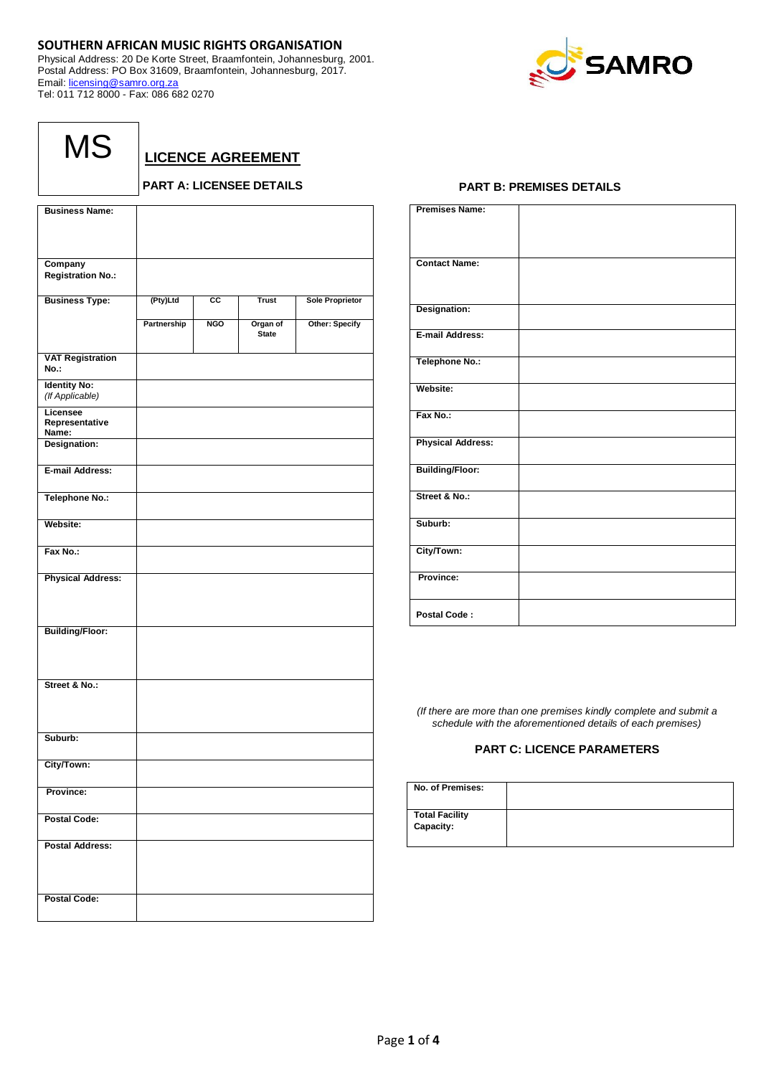# **SOUTHERN AFRICAN MUSIC RIGHTS ORGANISATION**

Physical Address: 20 De Korte Street, Braamfontein, Johannesburg, 2001. Postal Address: PO Box 31609, Braamfontein, Johannesburg, 2017. Email: [licensing@samro.org.za](mailto:licensing@samro.org.za) Tel: 011 712 8000 - Fax: 086 682 0270



| MS |  |
|----|--|
|----|--|

**LICENCE AGREEMENT**

# **PART A: LICENSEE DETAILS**

| <b>Business Name:</b>                  |             |            |                          |                        |
|----------------------------------------|-------------|------------|--------------------------|------------------------|
|                                        |             |            |                          |                        |
|                                        |             |            |                          |                        |
| Company                                |             |            |                          |                        |
| <b>Registration No.:</b>               |             |            |                          |                        |
| <b>Business Type:</b>                  | (Pty)Ltd    | СC         | <b>Trust</b>             | <b>Sole Proprietor</b> |
|                                        | Partnership | <b>NGO</b> | Organ of<br><b>State</b> | Other: Specify         |
| <b>VAT Registration</b><br>No.:        |             |            |                          |                        |
| <b>Identity No:</b><br>(If Applicable) |             |            |                          |                        |
| Licensee<br>Representative<br>Name:    |             |            |                          |                        |
| Designation:                           |             |            |                          |                        |
| E-mail Address:                        |             |            |                          |                        |
| <b>Telephone No.:</b>                  |             |            |                          |                        |
| Website:                               |             |            |                          |                        |
| Fax No.:                               |             |            |                          |                        |
| <b>Physical Address:</b>               |             |            |                          |                        |
| <b>Building/Floor:</b>                 |             |            |                          |                        |
| Street & No.:                          |             |            |                          |                        |
| Suburb:                                |             |            |                          |                        |
| City/Town:                             |             |            |                          |                        |
| Province:                              |             |            |                          |                        |
| <b>Postal Code:</b>                    |             |            |                          |                        |
| <b>Postal Address:</b>                 |             |            |                          |                        |
| <b>Postal Code:</b>                    |             |            |                          |                        |

## **PART B: PREMISES DETAILS**

| <b>Premises Name:</b>    |  |
|--------------------------|--|
| <b>Contact Name:</b>     |  |
| Designation:             |  |
| E-mail Address:          |  |
| <b>Telephone No.:</b>    |  |
| Website:                 |  |
| Fax No.:                 |  |
| <b>Physical Address:</b> |  |
| <b>Building/Floor:</b>   |  |
| Street & No.:            |  |
| Suburb:                  |  |
| City/Town:               |  |
| Province:                |  |
| Postal Code:             |  |

*(If there are more than one premises kindly complete and submit a schedule with the aforementioned details of each premises)*

## **PART C: LICENCE PARAMETERS**

| No. of Premises:                   |  |
|------------------------------------|--|
| <b>Total Facility</b><br>Capacity: |  |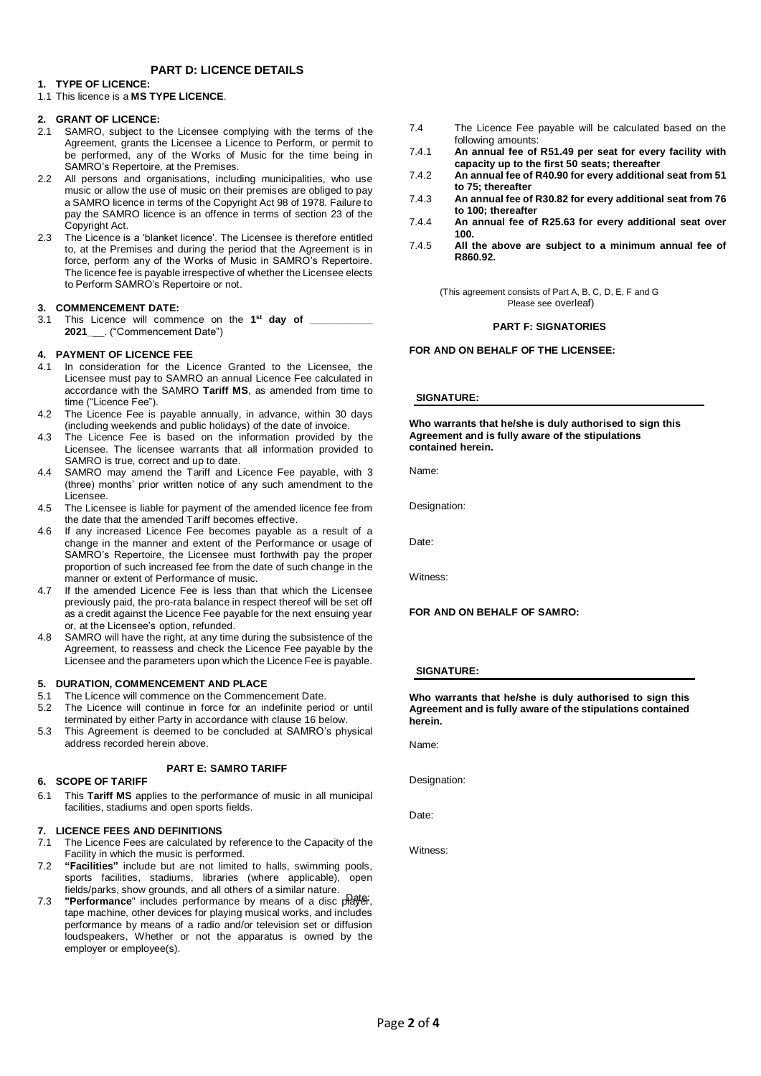## **PART D: LICENCE DETAILS**

## **1. TYPE OF LICENCE:**

## 1.1 This licence is a **MS TYPE LICENCE**.

## **2. GRANT OF LICENCE:**

- 2.1 SAMRO, subject to the Licensee complying with the terms of the Agreement, grants the Licensee a Licence to Perform, or permit to be performed, any of the Works of Music for the time being in SAMRO's Repertoire, at the Premises.
- 2.2 All persons and organisations, including municipalities, who use music or allow the use of music on their premises are obliged to pay a SAMRO licence in terms of the Copyright Act 98 of 1978. Failure to pay the SAMRO licence is an offence in terms of section 23 of the Copyright Act.
- 2.3 The Licence is a 'blanket licence'. The Licensee is therefore entitled to, at the Premises and during the period that the Agreement is in force, perform any of the Works of Music in SAMRO's Repertoire. The licence fee is payable irrespective of whether the Licensee elects to Perform SAMRO's Repertoire or not.

## **3. COMMENCEMENT DATE:**

3.1 This Licence will commence on the **1 st day of \_\_\_\_\_\_\_\_\_\_\_ 2021\_**\_\_. ("Commencement Date")

## **4. PAYMENT OF LICENCE FEE**

- 4.1 In consideration for the Licence Granted to the Licensee, the Licensee must pay to SAMRO an annual Licence Fee calculated in accordance with the SAMRO **Tariff MS**, as amended from time to time ("Licence Fee").
- 4.2 The Licence Fee is payable annually, in advance, within 30 days (including weekends and public holidays) of the date of invoice.
- 4.3 The Licence Fee is based on the information provided by the Licensee. The licensee warrants that all information provided to SAMRO is true, correct and up to date.
- 4.4 SAMRO may amend the Tariff and Licence Fee payable, with 3 (three) months' prior written notice of any such amendment to the Licensee.
- 4.5 The Licensee is liable for payment of the amended licence fee from the date that the amended Tariff becomes effective.
- 4.6 If any increased Licence Fee becomes payable as a result of a change in the manner and extent of the Performance or usage of SAMRO's Repertoire, the Licensee must forthwith pay the proper proportion of such increased fee from the date of such change in the manner or extent of Performance of music.
- 4.7 If the amended Licence Fee is less than that which the Licensee previously paid, the pro-rata balance in respect thereof will be set off as a credit against the Licence Fee payable for the next ensuing year or, at the Licensee's option, refunded.
- 4.8 SAMRO will have the right, at any time during the subsistence of the Agreement, to reassess and check the Licence Fee payable by the Licensee and the parameters upon which the Licence Fee is payable.

## **5. DURATION, COMMENCEMENT AND PLACE**

- 5.1 The Licence will commence on the Commencement Date.
- 5.2 The Licence will continue in force for an indefinite period or until
- terminated by either Party in accordance with clause 16 below. 5.3 This Agreement is deemed to be concluded at SAMRO's physical address recorded herein above.

## **PART E: SAMRO TARIFF**

## **6. SCOPE OF TARIFF**

6.1 This **Tariff MS** applies to the performance of music in all municipal facilities, stadiums and open sports fields.

## **7. LICENCE FEES AND DEFINITIONS**

- 7.1 The Licence Fees are calculated by reference to the Capacity of the Facility in which the music is performed.
- 7.2 **"Facilities"** include but are not limited to halls, swimming pools, sports facilities, stadiums, libraries (where applicable), open fields/parks, show grounds, and all others of a similar nature.
- **The Contract Property of the contract of a disc player**, tape machine, other devices for playing musical works, and includes performance by means of a radio and/or television set or diffusion loudspeakers, Whether or not the apparatus is owned by the employer or employee(s).
- 7.4 The Licence Fee payable will be calculated based on the following amounts:
- 7.4.1 **An annual fee of R51.49 per seat for every facility with capacity up to the first 50 seats; thereafter**
- 7.4.2 **An annual fee of R40.90 for every additional seat from 51 to 75; thereafter**
- 7.4.3 **An annual fee of R30.82 for every additional seat from 76 to 100; thereafter**
- 7.4.4 **An annual fee of R25.63 for every additional seat over 100.**
- 7.4.5 **All the above are subject to a minimum annual fee of R860.92.**

(This agreement consists of Part A, B, C, D, E, F and G Please see overleaf)

## **PART F: SIGNATORIES**

**FOR AND ON BEHALF OF THE LICENSEE:** 

## **SIGNATURE:**

**Who warrants that he/she is duly authorised to sign this Agreement and is fully aware of the stipulations contained herein.**

Name:

Designation:

Date:

Witness:

## **FOR AND ON BEHALF OF SAMRO:**

**SIGNATURE:**

**Who warrants that he/she is duly authorised to sign this Agreement and is fully aware of the stipulations contained herein.**

Name:

Designation:

Date:

Witness: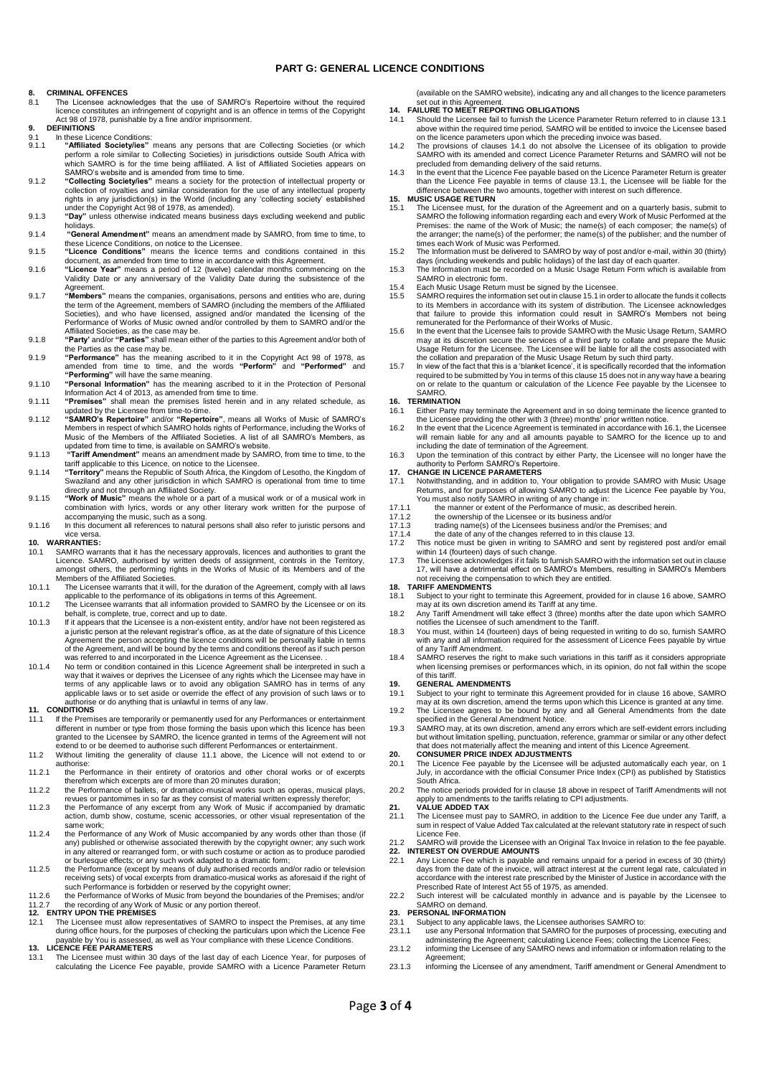## **PART G: GENERAL LICENCE CONDITIONS**

### **8. CRIMINAL OFFENCES**

- 8.1 The Licensee acknowledges that the use of SAMRO's Repertoire without the required licence constitutes an infringement of copyright and is an offence in terms of the Copyright Act 98 of 1978, punishable by a fine and/or imprisonment.
- **9. DEFINITIONS**
- 9.1 In these Licence Conditions:<br>9.1. **Affiliated Society/jes**" 9.1.1 "Affiliated Society/ies" means any persons that are Collecting Societies (or which perform a role similar to Collecting Societies) in jurisdictions outside South Africa with which SAMRO is for the time being affiliat
- 9.1.2 **"Collecting Society/ies"** means a society for the protection of intellectual property or collection of royalties and similar consideration for the use of any intellectual property rights in any jurisdiction(s) in the World (including any 'collecting society' established under the Copyright Act 98 of 1978, as amended).
- 9.1.3 **"Day"** unless otherwise indicated means business days excluding weekend and public
- holidays. 9.1.4 **"General Amendment"** means an amendment made by SAMRO, from time to time, to these Licence Conditions, on notice to the Licensee. 9.1.5 **"Licence Conditions"** means the licence terms and conditions contained in this
- 
- document, as amended from time to time in accordance with this Agreement. 9.1.6 **"Licence Year"** means a period of 12 (twelve) calendar months commencing on the Validity Date or any anniversary of the Validity Date during the subsistence of the
- Agreement.<br>9.1.7 **"Members**" means the companies, organisations, persons and entities who are, during<br>the term of the Agreement, members of SAMRO (including the members of the Affiliated Societies), and who have licensed, assigned and/or mandated the licensing of the Performance of Works of Music owned and/or controlled by them to SAMRO and/or the Affiliated Societies, as the case may be.
- 9.1.8 **"Party'** and/or **"Parties"** shall mean either of the parties to this Agreement and/or both of the Parties as the case may be.
- 9.1.9 **"Performance"** has the meaning ascribed to it in the Copyright Act 98 of 1978, as amended from time to time, and the words **"Perform"** and **"Performed"** and **"Performing"** will have the same meaning.
- 9.1.10 **"Personal Information"** has the meaning ascribed to it in the Protection of Personal Information Act 4 of 2013, as amended from time to time. 9.1.11 **"Premises"** shall mean the premises listed herein and in any related schedule, as
- 
- updated by the Licensee from time-to-time.<br>9.1.12 "SAMRO's Repertoire" and/or "Repertoire", means all Works of Music of SAMRO's<br>Members in respect of which SAMRO holds rights of Performance, including the Works of<br>Music of
- 9.1.13 **"Tariff Amendment"** means an amendment made by SAMRO, from time to time, to the tariff applicable to this Licence, on notice to the Licensee.
- 9.1.14 **"Territory"** means the Republic of South Africa, the Kingdom of Lesotho, the Kingdom of Swaziland and any other jurisdiction in which SAMRO is operational from time to time directly and not through an Affiliated Society. 9.1.15 **"Work of Music"** means the whole or a part of a musical work or of a musical work in
- combination with lyrics, words or any other literary work written for the purpose of accompanying the music, such as a song. 9.1.16 In this document all references to natural persons shall also refer to juristic persons and
- 

# vice versa. **10. WARRANTIES:**

- 10.1 SAMRO warrants that it has the necessary approvals, licences and authorities to grant the Licence. SAMRO, authorised by written deeds of assignment, controls in the Territory, amongst others, the performing rights in
- 10.1.1 The Licensee warrants that it will, for the duration of the Agreement, comply with all laws applicable to the performance of its obligations in terms of this Agreement.
- 10.1.2 The Licensee warrants that all information provided to SAMRO by the Licensee or on its behalf, is complete, true, correct and up to date.
- 10.1.3 If it appears that the Licensee is a non-existent entity, and/or have not been registered as a juristic person at the relevant registrar's office, as at the date of signature of this Licence Agreement the person accepting the licence conditions will be personally liable in terms<br>of the Agreement, and will be bound by the terms and conditions thereof as if such person<br>was referred to and incorporated in the Lic
- 10.1.4 No term or condition contained in this Licence Agreement shall be interpreted in such a way that it waives or deprives the Licensee of any rights which the Licensee may have in<br>terms of any applicable laws or to avoid any obligation SAMRO has in terms of any<br>applicable laws or to set aside or override the eff authorise or do anything that is unlawful in terms of any law. **11. CONDITIONS**

- 11.1 If the Premises are temporarily or permanently used for any Performances or entertainment different in number or type from those forming the basis upon which this licence has been granted to the Licensee by SAMRO, the licence granted in terms of the Agreement will not extend to or be deemed to authorise such different Performances or entertainment.
- 11.2 Without limiting the generality of clause 11.1 above, the Licence will not extend to or authorise:
- 11.2.1 the Performance in their entirety of oratorios and other choral works or of excerpts
- therefrom which excerpts are of more than 20 minutes duration; 11.2.2 the Performance of ballets, or dramatico-musical works such as operas, musical plays,
- revues or pantomimes in so far as they consist of material written expressly therefor; 11.2.3 the Performance of any excerpt from any Work of Music if accompanied by dramatic action, dumb show, costume, scenic accessories, or other visual representation of the same work;
- 11.2.4 the Performance of any Work of Music accompanied by any words other than those (if any) published or otherwise associated therewith by the copyright owner; any such work in any altered or rearranged form, or with such costume or action as to produce parodied or burlesque effects; or any such work adapted to a dramatic form;
- 11.2.5 the Performance (except by means of duly authorised records and/or radio or television receiving sets) of vocal excerpts from dramatico-musical works as aforesaid if the right of
- such Performance is forbidden or reserved by the copyright owner;<br>11.2.6 the Performance of Works of Music from beyond the boundaries of the Premises; and/or<br>11.2.7 the recording of any Work of Music or any portion thereof

- during office hours, for the purposes of checking the particulars upon which the Licence Fee payable by You is assessed, as well as Your compliance with these Licence Conditions. **13. LICENCE FEE PARAMETERS**
- 13.1 The Licensee must within 30 days of the last day of each Licence Year, for purposes of calculating the Licence Fee payable, provide SAMRO with a Licence Parameter Return

(available on the SAMRO website), indicating any and all changes to the licence parameters

- set out in this Agreement. **14. FAILURE TO MEET REPORTING OBLIGATIONS**
- 14.1 Should the Licensee fail to furnish the Licence Parameter Return referred to in clause 13.1 above within the required time period, SAMRO will be entitled to invoice the Licensee based on the licence parameters upon which the preceding invoice was based.
- 14.2 The provisions of clauses 14.1 do not absolve the Licensee of its obligation to provide SAMRO with its amended and correct Licence Parameter Returns and SAMRO will not be
- precluded from demanding delivery of the said returns. 14.3 In the event that the Licence Fee payable based on the Licence Parameter Return is greater than the Licence Fee payable in terms of clause 13.1, the Licensee will be liable for the difference between the two amounts, together with interest on such difference. **15. MUSIC USAGE RETURN**

- 15.1 The Licensee must, for the duration of the Agreement and on a quarterly basis, submit to SAMRO the following information regarding each and every Work of Music Performed at the Premises: the name of the Work of Music; the name(s) of each composer; the name(s) of the arranger; the name(s) of the performer; the name(s) of the publisher; and the number of times each Work of Music was Performed. 15.2 The Information must be delivered to SAMRO by way of post and/or e-mail, within 30 (thirty)
- days (including weekends and public holidays) of the last day of each quarter. 15.3 The Information must be recorded on a Music Usage Return Form which is available from
- SAMRO in electronic form.
- 15.4 Each Music Usage Return must be signed by the Licensee.
- 15.5 SAMRO requires the information set out in clause 15.1 in order to allocate the funds it collects to its Members in accordance with its system of distribution. The Licensee acknowledges that failure to provide this information could result in SAMRO's Members not being remunerated for the Performance of their Works of Music.
- 15.6 In the event that the Licensee fails to provide SAMRO with the Music Usage Return, SAMRO may at its discretion secure the services of a third party to collate and prepare the Music Usage Return for the Licensee. The Licensee will be liable for all the costs associated with the collation and preparation of the Music Usage Return by such third party.
- 15.7 In view of the fact that this is a 'blanket licence', it is specifically recorded that the information required to be submitted by You in terms of this clause 15 does not in any way have a bearing on or relate to the quantum or calculation of the Licence Fee payable by the Licensee to SAMRO.

- **16. TERMINATION**<br>**16.1** Either Party r 16.1 Either Party may terminate the Agreement and in so doing terminate the licence granted to the Licensee providing the other with 3 (three) months' prior written notice.
- 16.2 In the event that the Licence Agreement is terminated in accordance with 16.1, the Licensee will remain liable for any and all amounts payable to SAMRO for the licence up to and including the date of termination of the Agreement.
- 16.3 Upon the termination of this contract by either Party, the Licensee will no longer have the authority to Perform SAMRO's Repertoire.

# **17. CHANGE IN LICENCE PARAMETERS**<br>17.1 Notwithstanding and in addition to

- 17.1 Notwithstanding, and in addition to, Your obligation to provide SAMRO with Music Usage Returns, and for purposes of allowing SAMRO to adjust the Licence Fee payable by You, You must also notify SAMRO in writing of any change in:
- 
- 17.1.1 the manner or extent of the Performance of music, as described herein. 17.1.2 the ownership of the Licensee or its business and/or
- 
- 17.1.3 trading name(s) of the Licensees business and/or the Premises; and 17.1.4 the date of any of the changes referred to in this clause 13.
- This notice must be given in writing to SAMRO and sent by registered post and/or email<br>writhin 14 (fourteen) days of such change.<br>The Licensee acknowledges if it fails to furnish SAMRO with the information set out in claus
- 17, will have a detrimental effect on SAMRO's Members, resulting in SAMRO's Members not receiving the compensation to which they are entitled.

### **18. TARIFF AMENDMENTS**

- 18.1 Subject to your right to terminate this Agreement, provided for in clause 16 above, SAMRO may at its own discretion amend its Tariff at any time. 18.2 Any Tariff Amendment will take effect 3 (three) months after the date upon which SAMRO
- notifies the Licensee of such amendment to the Tariff.
- 18.3 You must, within 14 (fourteen) days of being requested in writing to do so, furnish SAMRO with any and all information required for the assessment of Licence Fees payable by virtue
- of any Tariff Amendment. 18.4 SAMRO reserves the right to make such variations in this tariff as it considers appropriate when licensing premises or performances which, in its opinion, do not fall within the scope of this tariff.

- **19. GENERAL AMENDMENTS**<br>19.1 Subject to your right to term 19.1 Subject to your right to terminate this Agreement provided for in clause 16 above, SAMRO
- may at its own discretion, amend the terms upon which this Licence is granted at any time. 19.2 The Licensee agrees to be bound by any and all General Amendments from the date specified in the General Amendment Notice.
- 19.3 SAMRO may, at its own discretion, amend any errors which are self-evident errors including but without limitation spelling, punctuation, reference, grammar or similar or any other defect<br>that does not materially affect the meaning and intent of this Licence Agreement.<br>20. CONSUMER PRICE INDEX ADJUSTMENTS

- 20.1 The Licence Fee payable by the Licensee will be adjusted automatically each ye July, in accordance with the official Consumer Price Index (CPI) as published by Statistics South Africa.
- 20.2 The notice periods provided for in clause 18 above in respect of Tariff Amendments will not apply to amendments to the tariffs relating to CPI adjustments. **21. VALUE ADDED TAX**

# 21.1 The Licensee must pay to SAMRO, in addition to the Licence Fee due under any Tariff, a sum in respect of Value Added Tax calculated at the relevant statutory rate in respect of such

- Licence Fee. 21.2 SAMRO will provide the Licensee with an Original Tax Invoice in relation to the fee payable. **22. INTEREST ON OVERDUE AMOUNTS**
- 22.1 Any Licence Fee which is payable and remains unpaid for a period in excess of 30 (thirty) days from the date of the invoice, will attract interest at the current legal rate, calculated in accordance with the interest rate prescribed by the Minister of Justice in accordance with the Prescribed Rate of Interest Act 55 of 1975, as amended.
- 22.2 Such interest will be calculated monthly in advance and is payable by the Licensee to SAMRO on demand.

# **23. PERSONAL INFORMATION**

- 23.1 Subject to any applicable laws, the Licensee authorises SAMRO to:<br>23.1 Subject to any applicable laws, the Licensee authorises SAMRO to:
- 23.1.1 use any Personal Information that SAMRO for the purposes of processing, executing and<br>administering the Agreement; calculating Licence Fees; collecting the Licence Fees;<br>23.1.2 informing the Licensee of any SAMRO ne Agreement;
- 23.1.3 informing the Licensee of any amendment, Tariff amendment or General Amendment to